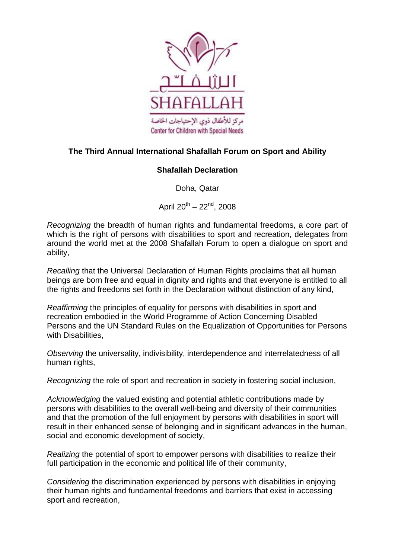

## **The Third Annual International Shafallah Forum on Sport and Ability**

## **Shafallah Declaration**

Doha, Qatar

April  $20^{th} - 22^{nd}$ , 2008

*Recognizing* the breadth of human rights and fundamental freedoms, a core part of which is the right of persons with disabilities to sport and recreation, delegates from around the world met at the 2008 Shafallah Forum to open a dialogue on sport and ability,

*Recalling* that the Universal Declaration of Human Rights proclaims that all human beings are born free and equal in dignity and rights and that everyone is entitled to all the rights and freedoms set forth in the Declaration without distinction of any kind,

*Reaffirming* the principles of equality for persons with disabilities in sport and recreation embodied in the World Programme of Action Concerning Disabled Persons and the UN Standard Rules on the Equalization of Opportunities for Persons with Disabilities.

*Observing* the universality, indivisibility, interdependence and interrelatedness of all human rights,

*Recognizing* the role of sport and recreation in society in fostering social inclusion,

*Acknowledging* the valued existing and potential athletic contributions made by persons with disabilities to the overall well-being and diversity of their communities and that the promotion of the full enjoyment by persons with disabilities in sport will result in their enhanced sense of belonging and in significant advances in the human, social and economic development of society,

*Realizing* the potential of sport to empower persons with disabilities to realize their full participation in the economic and political life of their community,

*Considering* the discrimination experienced by persons with disabilities in enjoying their human rights and fundamental freedoms and barriers that exist in accessing sport and recreation,